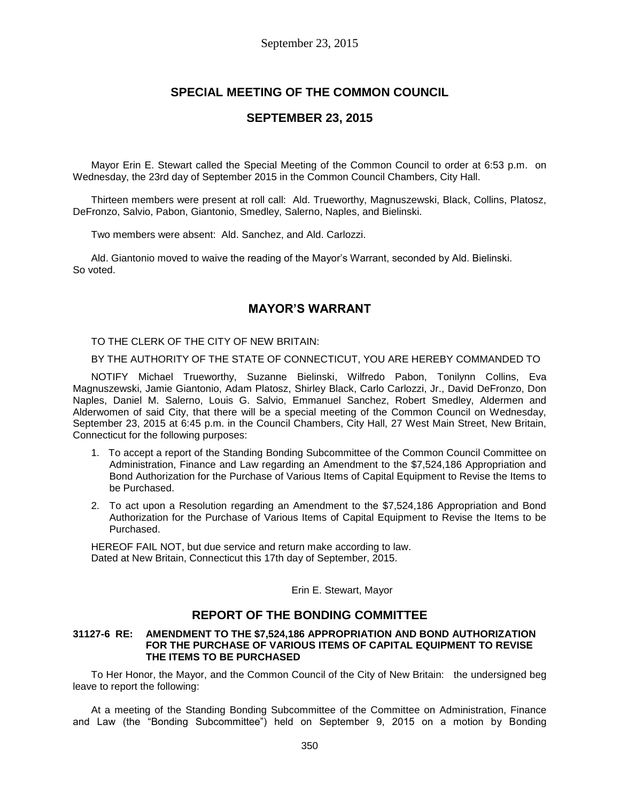# **SPECIAL MEETING OF THE COMMON COUNCIL**

### **SEPTEMBER 23, 2015**

Mayor Erin E. Stewart called the Special Meeting of the Common Council to order at 6:53 p.m. on Wednesday, the 23rd day of September 2015 in the Common Council Chambers, City Hall.

Thirteen members were present at roll call: Ald. Trueworthy, Magnuszewski, Black, Collins, Platosz, DeFronzo, Salvio, Pabon, Giantonio, Smedley, Salerno, Naples, and Bielinski.

Two members were absent: Ald. Sanchez, and Ald. Carlozzi.

Ald. Giantonio moved to waive the reading of the Mayor's Warrant, seconded by Ald. Bielinski. So voted.

## **MAYOR'S WARRANT**

TO THE CLERK OF THE CITY OF NEW BRITAIN:

BY THE AUTHORITY OF THE STATE OF CONNECTICUT, YOU ARE HEREBY COMMANDED TO

NOTIFY Michael Trueworthy, Suzanne Bielinski, Wilfredo Pabon, Tonilynn Collins, Eva Magnuszewski, Jamie Giantonio, Adam Platosz, Shirley Black, Carlo Carlozzi, Jr., David DeFronzo, Don Naples, Daniel M. Salerno, Louis G. Salvio, Emmanuel Sanchez, Robert Smedley, Aldermen and Alderwomen of said City, that there will be a special meeting of the Common Council on Wednesday, September 23, 2015 at 6:45 p.m. in the Council Chambers, City Hall, 27 West Main Street, New Britain, Connecticut for the following purposes:

- 1. To accept a report of the Standing Bonding Subcommittee of the Common Council Committee on Administration, Finance and Law regarding an Amendment to the \$7,524,186 Appropriation and Bond Authorization for the Purchase of Various Items of Capital Equipment to Revise the Items to be Purchased.
- 2. To act upon a Resolution regarding an Amendment to the \$7,524,186 Appropriation and Bond Authorization for the Purchase of Various Items of Capital Equipment to Revise the Items to be Purchased.

HEREOF FAIL NOT, but due service and return make according to law. Dated at New Britain, Connecticut this 17th day of September, 2015.

Erin E. Stewart, Mayor

## **REPORT OF THE BONDING COMMITTEE**

#### **31127-6 RE: AMENDMENT TO THE \$7,524,186 APPROPRIATION AND BOND AUTHORIZATION FOR THE PURCHASE OF VARIOUS ITEMS OF CAPITAL EQUIPMENT TO REVISE THE ITEMS TO BE PURCHASED**

To Her Honor, the Mayor, and the Common Council of the City of New Britain: the undersigned beg leave to report the following:

At a meeting of the Standing Bonding Subcommittee of the Committee on Administration, Finance and Law (the "Bonding Subcommittee") held on September 9, 2015 on a motion by Bonding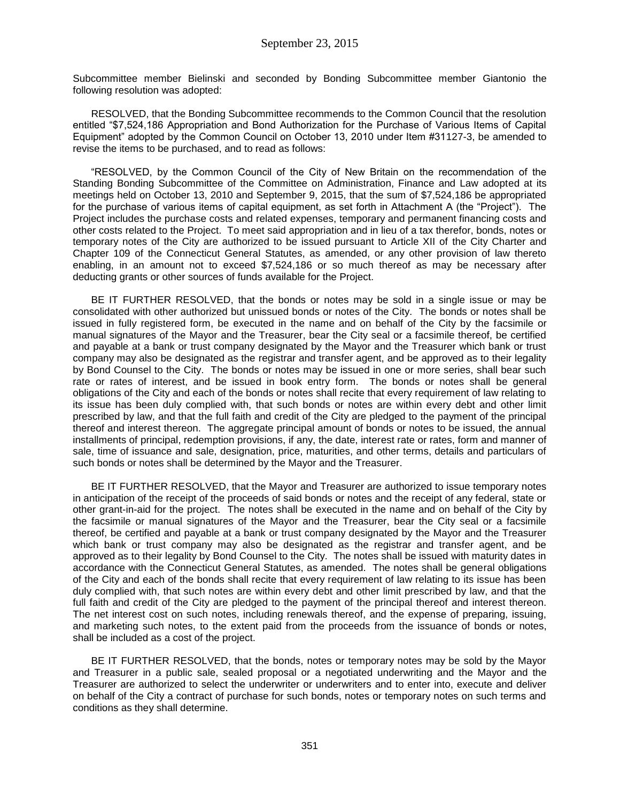Subcommittee member Bielinski and seconded by Bonding Subcommittee member Giantonio the following resolution was adopted:

RESOLVED, that the Bonding Subcommittee recommends to the Common Council that the resolution entitled "\$7,524,186 Appropriation and Bond Authorization for the Purchase of Various Items of Capital Equipment" adopted by the Common Council on October 13, 2010 under Item #31127-3, be amended to revise the items to be purchased, and to read as follows:

"RESOLVED, by the Common Council of the City of New Britain on the recommendation of the Standing Bonding Subcommittee of the Committee on Administration, Finance and Law adopted at its meetings held on October 13, 2010 and September 9, 2015, that the sum of \$7,524,186 be appropriated for the purchase of various items of capital equipment, as set forth in Attachment A (the "Project"). The Project includes the purchase costs and related expenses, temporary and permanent financing costs and other costs related to the Project. To meet said appropriation and in lieu of a tax therefor, bonds, notes or temporary notes of the City are authorized to be issued pursuant to Article XII of the City Charter and Chapter 109 of the Connecticut General Statutes, as amended, or any other provision of law thereto enabling, in an amount not to exceed \$7,524,186 or so much thereof as may be necessary after deducting grants or other sources of funds available for the Project.

BE IT FURTHER RESOLVED, that the bonds or notes may be sold in a single issue or may be consolidated with other authorized but unissued bonds or notes of the City. The bonds or notes shall be issued in fully registered form, be executed in the name and on behalf of the City by the facsimile or manual signatures of the Mayor and the Treasurer, bear the City seal or a facsimile thereof, be certified and payable at a bank or trust company designated by the Mayor and the Treasurer which bank or trust company may also be designated as the registrar and transfer agent, and be approved as to their legality by Bond Counsel to the City. The bonds or notes may be issued in one or more series, shall bear such rate or rates of interest, and be issued in book entry form. The bonds or notes shall be general obligations of the City and each of the bonds or notes shall recite that every requirement of law relating to its issue has been duly complied with, that such bonds or notes are within every debt and other limit prescribed by law, and that the full faith and credit of the City are pledged to the payment of the principal thereof and interest thereon. The aggregate principal amount of bonds or notes to be issued, the annual installments of principal, redemption provisions, if any, the date, interest rate or rates, form and manner of sale, time of issuance and sale, designation, price, maturities, and other terms, details and particulars of such bonds or notes shall be determined by the Mayor and the Treasurer.

BE IT FURTHER RESOLVED, that the Mayor and Treasurer are authorized to issue temporary notes in anticipation of the receipt of the proceeds of said bonds or notes and the receipt of any federal, state or other grant-in-aid for the project. The notes shall be executed in the name and on behalf of the City by the facsimile or manual signatures of the Mayor and the Treasurer, bear the City seal or a facsimile thereof, be certified and payable at a bank or trust company designated by the Mayor and the Treasurer which bank or trust company may also be designated as the registrar and transfer agent, and be approved as to their legality by Bond Counsel to the City. The notes shall be issued with maturity dates in accordance with the Connecticut General Statutes, as amended. The notes shall be general obligations of the City and each of the bonds shall recite that every requirement of law relating to its issue has been duly complied with, that such notes are within every debt and other limit prescribed by law, and that the full faith and credit of the City are pledged to the payment of the principal thereof and interest thereon. The net interest cost on such notes, including renewals thereof, and the expense of preparing, issuing, and marketing such notes, to the extent paid from the proceeds from the issuance of bonds or notes, shall be included as a cost of the project.

BE IT FURTHER RESOLVED, that the bonds, notes or temporary notes may be sold by the Mayor and Treasurer in a public sale, sealed proposal or a negotiated underwriting and the Mayor and the Treasurer are authorized to select the underwriter or underwriters and to enter into, execute and deliver on behalf of the City a contract of purchase for such bonds, notes or temporary notes on such terms and conditions as they shall determine.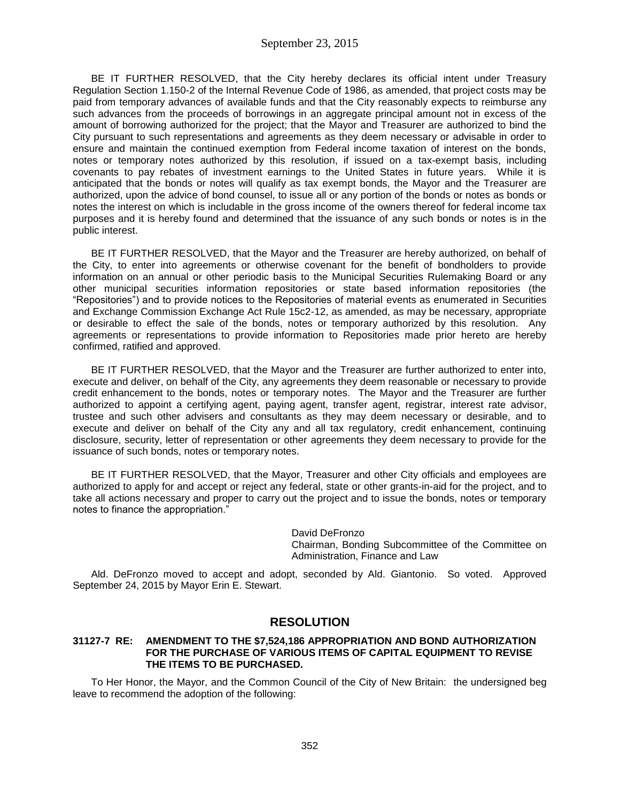BE IT FURTHER RESOLVED, that the City hereby declares its official intent under Treasury Regulation Section 1.150-2 of the Internal Revenue Code of 1986, as amended, that project costs may be paid from temporary advances of available funds and that the City reasonably expects to reimburse any such advances from the proceeds of borrowings in an aggregate principal amount not in excess of the amount of borrowing authorized for the project; that the Mayor and Treasurer are authorized to bind the City pursuant to such representations and agreements as they deem necessary or advisable in order to ensure and maintain the continued exemption from Federal income taxation of interest on the bonds, notes or temporary notes authorized by this resolution, if issued on a tax-exempt basis, including covenants to pay rebates of investment earnings to the United States in future years. While it is anticipated that the bonds or notes will qualify as tax exempt bonds, the Mayor and the Treasurer are authorized, upon the advice of bond counsel, to issue all or any portion of the bonds or notes as bonds or notes the interest on which is includable in the gross income of the owners thereof for federal income tax purposes and it is hereby found and determined that the issuance of any such bonds or notes is in the public interest.

BE IT FURTHER RESOLVED, that the Mayor and the Treasurer are hereby authorized, on behalf of the City, to enter into agreements or otherwise covenant for the benefit of bondholders to provide information on an annual or other periodic basis to the Municipal Securities Rulemaking Board or any other municipal securities information repositories or state based information repositories (the "Repositories") and to provide notices to the Repositories of material events as enumerated in Securities and Exchange Commission Exchange Act Rule 15c2-12, as amended, as may be necessary, appropriate or desirable to effect the sale of the bonds, notes or temporary authorized by this resolution. Any agreements or representations to provide information to Repositories made prior hereto are hereby confirmed, ratified and approved.

BE IT FURTHER RESOLVED, that the Mayor and the Treasurer are further authorized to enter into, execute and deliver, on behalf of the City, any agreements they deem reasonable or necessary to provide credit enhancement to the bonds, notes or temporary notes. The Mayor and the Treasurer are further authorized to appoint a certifying agent, paying agent, transfer agent, registrar, interest rate advisor, trustee and such other advisers and consultants as they may deem necessary or desirable, and to execute and deliver on behalf of the City any and all tax regulatory, credit enhancement, continuing disclosure, security, letter of representation or other agreements they deem necessary to provide for the issuance of such bonds, notes or temporary notes.

BE IT FURTHER RESOLVED, that the Mayor, Treasurer and other City officials and employees are authorized to apply for and accept or reject any federal, state or other grants-in-aid for the project, and to take all actions necessary and proper to carry out the project and to issue the bonds, notes or temporary notes to finance the appropriation."

> David DeFronzo Chairman, Bonding Subcommittee of the Committee on Administration, Finance and Law

Ald. DeFronzo moved to accept and adopt, seconded by Ald. Giantonio. So voted. Approved September 24, 2015 by Mayor Erin E. Stewart.

# **RESOLUTION**

#### **31127-7 RE: AMENDMENT TO THE \$7,524,186 APPROPRIATION AND BOND AUTHORIZATION FOR THE PURCHASE OF VARIOUS ITEMS OF CAPITAL EQUIPMENT TO REVISE THE ITEMS TO BE PURCHASED.**

To Her Honor, the Mayor, and the Common Council of the City of New Britain: the undersigned beg leave to recommend the adoption of the following: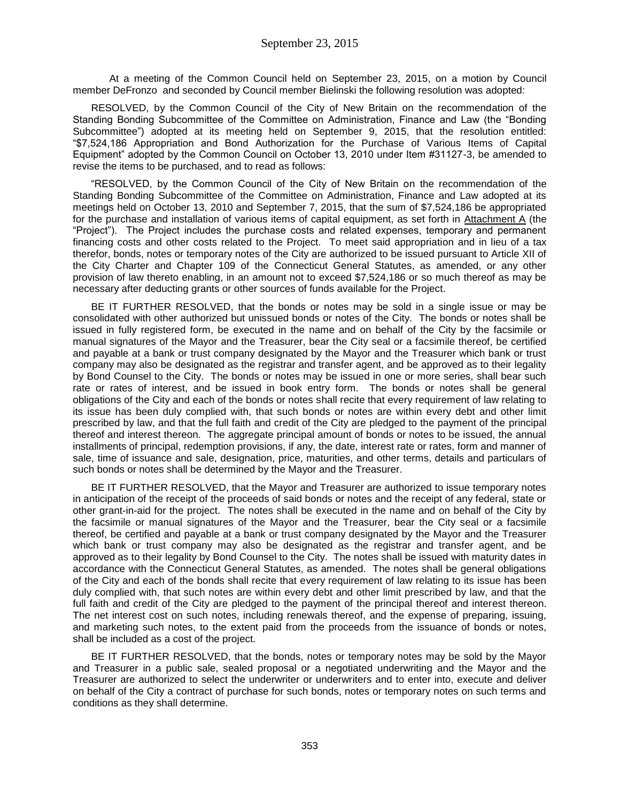At a meeting of the Common Council held on September 23, 2015, on a motion by Council member DeFronzo and seconded by Council member Bielinski the following resolution was adopted:

RESOLVED, by the Common Council of the City of New Britain on the recommendation of the Standing Bonding Subcommittee of the Committee on Administration, Finance and Law (the "Bonding Subcommittee") adopted at its meeting held on September 9, 2015, that the resolution entitled: "\$7,524,186 Appropriation and Bond Authorization for the Purchase of Various Items of Capital Equipment" adopted by the Common Council on October 13, 2010 under Item #31127-3, be amended to revise the items to be purchased, and to read as follows:

"RESOLVED, by the Common Council of the City of New Britain on the recommendation of the Standing Bonding Subcommittee of the Committee on Administration, Finance and Law adopted at its meetings held on October 13, 2010 and September 7, 2015, that the sum of \$7,524,186 be appropriated for the purchase and installation of various items of capital equipment, as set forth in Attachment A (the "Project"). The Project includes the purchase costs and related expenses, temporary and permanent financing costs and other costs related to the Project. To meet said appropriation and in lieu of a tax therefor, bonds, notes or temporary notes of the City are authorized to be issued pursuant to Article XII of the City Charter and Chapter 109 of the Connecticut General Statutes, as amended, or any other provision of law thereto enabling, in an amount not to exceed \$7,524,186 or so much thereof as may be necessary after deducting grants or other sources of funds available for the Project.

BE IT FURTHER RESOLVED, that the bonds or notes may be sold in a single issue or may be consolidated with other authorized but unissued bonds or notes of the City. The bonds or notes shall be issued in fully registered form, be executed in the name and on behalf of the City by the facsimile or manual signatures of the Mayor and the Treasurer, bear the City seal or a facsimile thereof, be certified and payable at a bank or trust company designated by the Mayor and the Treasurer which bank or trust company may also be designated as the registrar and transfer agent, and be approved as to their legality by Bond Counsel to the City. The bonds or notes may be issued in one or more series, shall bear such rate or rates of interest, and be issued in book entry form. The bonds or notes shall be general obligations of the City and each of the bonds or notes shall recite that every requirement of law relating to its issue has been duly complied with, that such bonds or notes are within every debt and other limit prescribed by law, and that the full faith and credit of the City are pledged to the payment of the principal thereof and interest thereon. The aggregate principal amount of bonds or notes to be issued, the annual installments of principal, redemption provisions, if any, the date, interest rate or rates, form and manner of sale, time of issuance and sale, designation, price, maturities, and other terms, details and particulars of such bonds or notes shall be determined by the Mayor and the Treasurer.

BE IT FURTHER RESOLVED, that the Mayor and Treasurer are authorized to issue temporary notes in anticipation of the receipt of the proceeds of said bonds or notes and the receipt of any federal, state or other grant-in-aid for the project. The notes shall be executed in the name and on behalf of the City by the facsimile or manual signatures of the Mayor and the Treasurer, bear the City seal or a facsimile thereof, be certified and payable at a bank or trust company designated by the Mayor and the Treasurer which bank or trust company may also be designated as the registrar and transfer agent, and be approved as to their legality by Bond Counsel to the City. The notes shall be issued with maturity dates in accordance with the Connecticut General Statutes, as amended. The notes shall be general obligations of the City and each of the bonds shall recite that every requirement of law relating to its issue has been duly complied with, that such notes are within every debt and other limit prescribed by law, and that the full faith and credit of the City are pledged to the payment of the principal thereof and interest thereon. The net interest cost on such notes, including renewals thereof, and the expense of preparing, issuing, and marketing such notes, to the extent paid from the proceeds from the issuance of bonds or notes, shall be included as a cost of the project.

BE IT FURTHER RESOLVED, that the bonds, notes or temporary notes may be sold by the Mayor and Treasurer in a public sale, sealed proposal or a negotiated underwriting and the Mayor and the Treasurer are authorized to select the underwriter or underwriters and to enter into, execute and deliver on behalf of the City a contract of purchase for such bonds, notes or temporary notes on such terms and conditions as they shall determine.